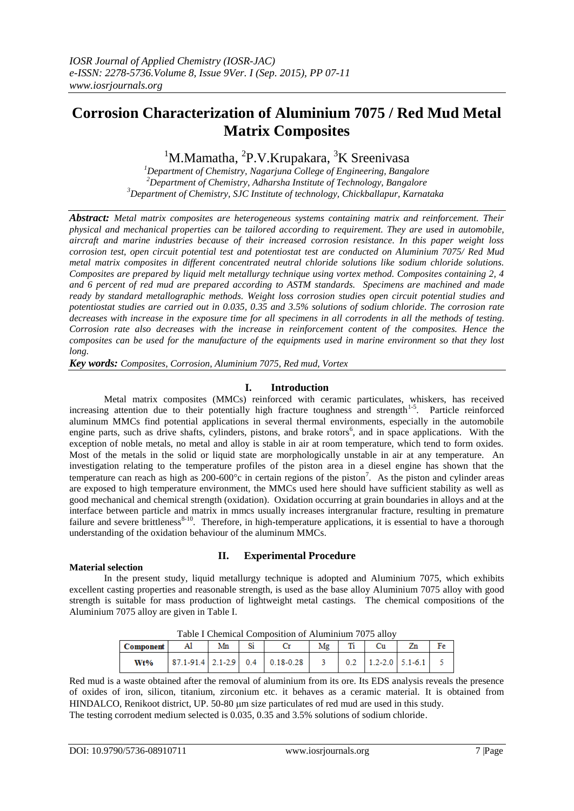# **Corrosion Characterization of Aluminium 7075 / Red Mud Metal Matrix Composites**

<sup>1</sup>M.Mamatha, <sup>2</sup>P.V.Krupakara, <sup>3</sup>K Sreenivasa

*<sup>1</sup>Department of Chemistry, Nagarjuna College of Engineering, Bangalore <sup>2</sup>Department of Chemistry, Adharsha Institute of Technology, Bangalore <sup>3</sup>Department of Chemistry, SJC Institute of technology, Chickballapur, Karnataka*

*Abstract: Metal matrix composites are heterogeneous systems containing matrix and reinforcement. Their physical and mechanical properties can be tailored according to requirement. They are used in automobile, aircraft and marine industries because of their increased corrosion resistance. In this paper weight loss corrosion test, open circuit potential test and potentiostat test are conducted on Aluminium 7075/ Red Mud metal matrix composites in different concentrated neutral chloride solutions like sodium chloride solutions. Composites are prepared by liquid melt metallurgy technique using vortex method. Composites containing 2, 4 and 6 percent of red mud are prepared according to ASTM standards. Specimens are machined and made ready by standard metallographic methods. Weight loss corrosion studies open circuit potential studies and potentiostat studies are carried out in 0.035, 0.35 and 3.5% solutions of sodium chloride. The corrosion rate decreases with increase in the exposure time for all specimens in all corrodents in all the methods of testing. Corrosion rate also decreases with the increase in reinforcement content of the composites. Hence the composites can be used for the manufacture of the equipments used in marine environment so that they lost long.*

*Key words: Composites, Corrosion, Aluminium 7075, Red mud, Vortex*

# **I. Introduction**

Metal matrix composites (MMCs) reinforced with ceramic particulates, whiskers, has received increasing attention due to their potentially high fracture toughness and strength<sup>1-5</sup>. Particle reinforced aluminum MMCs find potential applications in several thermal environments, especially in the automobile engine parts, such as drive shafts, cylinders, pistons, and brake rotors<sup>6</sup>, and in space applications. With the exception of noble metals, no metal and alloy is stable in air at room temperature, which tend to form oxides. Most of the metals in the solid or liquid state are morphologically unstable in air at any temperature. An investigation relating to the temperature profiles of the piston area in a diesel engine has shown that the temperature can reach as high as  $200-600^{\circ}$ c in certain regions of the piston<sup>7</sup>. As the piston and cylinder areas are exposed to high temperature environment, the MMCs used here should have sufficient stability as well as good mechanical and chemical strength (oxidation). Oxidation occurring at grain boundaries in alloys and at the interface between particle and matrix in mmcs usually increases intergranular fracture, resulting in premature failure and severe brittleness<sup>8-10</sup>. Therefore, in high-temperature applications, it is essential to have a thorough understanding of the oxidation behaviour of the aluminum MMCs.

## **Material selection**

# **II. Experimental Procedure**

In the present study, liquid metallurgy technique is adopted and Aluminium 7075, which exhibits excellent casting properties and reasonable strength, is used as the base alloy Aluminium 7075 alloy with good strength is suitable for mass production of lightweight metal castings. The chemical compositions of the Aluminium 7075 alloy are given in Table I.

| Table I Chemical Composition of Alumnique 7075 anoy |    |    |  |                                                                         |    |  |                                                             |  |    |  |  |
|-----------------------------------------------------|----|----|--|-------------------------------------------------------------------------|----|--|-------------------------------------------------------------|--|----|--|--|
| Component                                           | Al | Mn |  |                                                                         | Mα |  | Сu                                                          |  | Fe |  |  |
| Wt%                                                 |    |    |  | $\vert$ 87.1-91.4 $\vert$ 2.1-2.9 $\vert$ 0.4 $\vert$ 0.18-0.28 $\vert$ |    |  | $\begin{vmatrix} 0.2 & 1.2 - 2.0 & 5.1 - 6.1 \end{vmatrix}$ |  |    |  |  |

Table I Chemical Composition of Aluminium 7075 alloy

Red mud is a waste obtained after the removal of aluminium from its ore. Its EDS analysis reveals the presence of oxides of iron, silicon, titanium, zirconium etc. it behaves as a ceramic material. It is obtained from HINDALCO, Renikoot district, UP. 50-80 µm size particulates of red mud are used in this study. The testing corrodent medium selected is 0.035, 0.35 and 3.5% solutions of sodium chloride.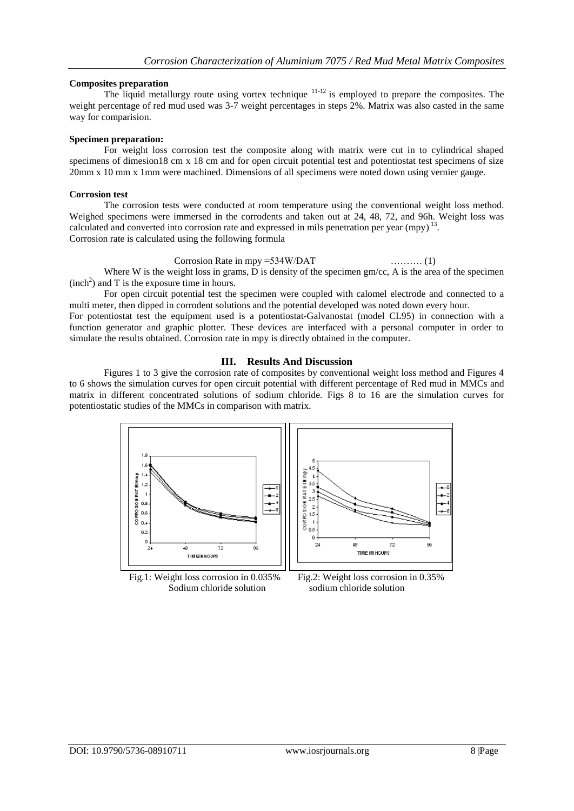## **Composites preparation**

The liquid metallurgy route using vortex technique <sup>11-12</sup> is employed to prepare the composites. The weight percentage of red mud used was 3-7 weight percentages in steps 2%. Matrix was also casted in the same way for comparision.

## **Specimen preparation:**

For weight loss corrosion test the composite along with matrix were cut in to cylindrical shaped specimens of dimesion18 cm x 18 cm and for open circuit potential test and potentiostat test specimens of size 20mm x 10 mm x 1mm were machined. Dimensions of all specimens were noted down using vernier gauge.

#### **Corrosion test**

The corrosion tests were conducted at room temperature using the conventional weight loss method. Weighed specimens were immersed in the corrodents and taken out at 24, 48, 72, and 96h. Weight loss was calculated and converted into corrosion rate and expressed in mils penetration per year  $(mpy)^{13}$ . Corrosion rate is calculated using the following formula

#### Corrosion Rate in mpy =534W/DAT ………. (1)

Where W is the weight loss in grams, D is density of the specimen  $gm/cc$ , A is the area of the specimen  $(inch<sup>2</sup>)$  and T is the exposure time in hours.

For open circuit potential test the specimen were coupled with calomel electrode and connected to a multi meter, then dipped in corrodent solutions and the potential developed was noted down every hour.

For potentiostat test the equipment used is a potentiostat-Galvanostat (model CL95) in connection with a function generator and graphic plotter. These devices are interfaced with a personal computer in order to simulate the results obtained. Corrosion rate in mpy is directly obtained in the computer.

## **III. Results And Discussion**

Figures 1 to 3 give the corrosion rate of composites by conventional weight loss method and Figures 4 to 6 shows the simulation curves for open circuit potential with different percentage of Red mud in MMCs and matrix in different concentrated solutions of sodium chloride. Figs 8 to 16 are the simulation curves for potentiostatic studies of the MMCs in comparison with matrix.



Fig.1: Weight loss corrosion in 0.035% Fig.2: Weight loss corrosion in 0.35% Sodium chloride solution sodium chloride solution

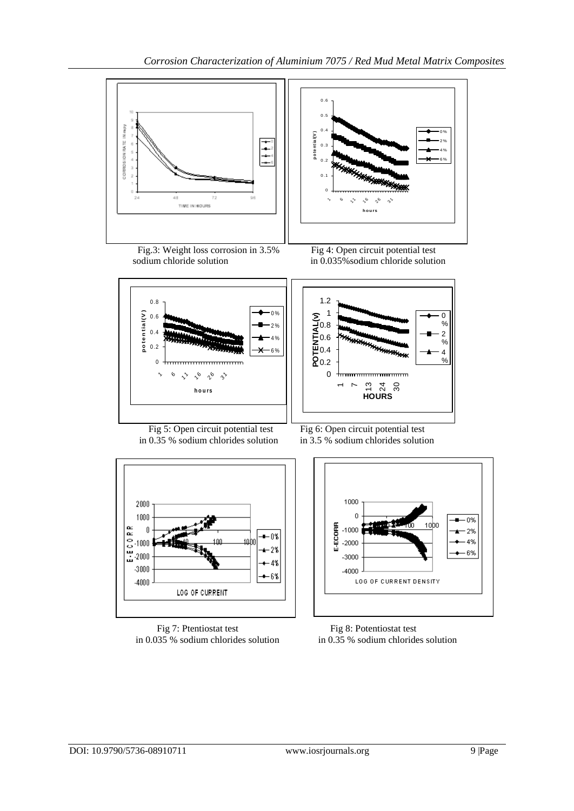



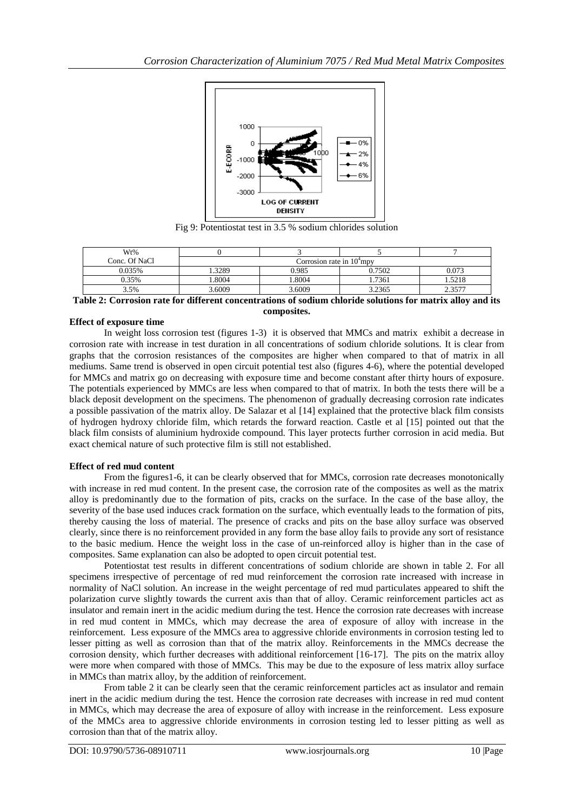

Fig 9: Potentiostat test in 3.5 % sodium chlorides solution

| Wt%           |                             |        |        |        |  |  |  |
|---------------|-----------------------------|--------|--------|--------|--|--|--|
| Conc. Of NaCl | Corrosion rate in $104$ mpy |        |        |        |  |  |  |
| 0.035%        | .3289                       | 0.985  | 0.7502 | 0.073  |  |  |  |
| 0.35%         | .8004                       | .8004  | 1.7361 | . 5218 |  |  |  |
| 3.5%          | 3.6009                      | 3.6009 | 3.2365 | 2.3577 |  |  |  |

**Table 2: Corrosion rate for different concentrations of sodium chloride solutions for matrix alloy and its composites.** 

## **Effect of exposure time**

In weight loss corrosion test (figures 1-3) it is observed that MMCs and matrix exhibit a decrease in corrosion rate with increase in test duration in all concentrations of sodium chloride solutions. It is clear from graphs that the corrosion resistances of the composites are higher when compared to that of matrix in all mediums. Same trend is observed in open circuit potential test also (figures 4-6), where the potential developed for MMCs and matrix go on decreasing with exposure time and become constant after thirty hours of exposure. The potentials experienced by MMCs are less when compared to that of matrix. In both the tests there will be a black deposit development on the specimens. The phenomenon of gradually decreasing corrosion rate indicates a possible passivation of the matrix alloy. De Salazar et al [14] explained that the protective black film consists of hydrogen hydroxy chloride film, which retards the forward reaction. Castle et al [15] pointed out that the black film consists of aluminium hydroxide compound. This layer protects further corrosion in acid media. But exact chemical nature of such protective film is still not established.

## **Effect of red mud content**

From the figures1-6, it can be clearly observed that for MMCs, corrosion rate decreases monotonically with increase in red mud content. In the present case, the corrosion rate of the composites as well as the matrix alloy is predominantly due to the formation of pits, cracks on the surface. In the case of the base alloy, the severity of the base used induces crack formation on the surface, which eventually leads to the formation of pits, thereby causing the loss of material. The presence of cracks and pits on the base alloy surface was observed clearly, since there is no reinforcement provided in any form the base alloy fails to provide any sort of resistance to the basic medium. Hence the weight loss in the case of un-reinforced alloy is higher than in the case of composites. Same explanation can also be adopted to open circuit potential test.

Potentiostat test results in different concentrations of sodium chloride are shown in table 2. For all specimens irrespective of percentage of red mud reinforcement the corrosion rate increased with increase in normality of NaCl solution. An increase in the weight percentage of red mud particulates appeared to shift the polarization curve slightly towards the current axis than that of alloy. Ceramic reinforcement particles act as insulator and remain inert in the acidic medium during the test. Hence the corrosion rate decreases with increase in red mud content in MMCs, which may decrease the area of exposure of alloy with increase in the reinforcement. Less exposure of the MMCs area to aggressive chloride environments in corrosion testing led to lesser pitting as well as corrosion than that of the matrix alloy. Reinforcements in the MMCs decrease the corrosion density, which further decreases with additional reinforcement [16-17]. The pits on the matrix alloy were more when compared with those of MMCs. This may be due to the exposure of less matrix alloy surface in MMCs than matrix alloy, by the addition of reinforcement.

From table 2 it can be clearly seen that the ceramic reinforcement particles act as insulator and remain inert in the acidic medium during the test. Hence the corrosion rate decreases with increase in red mud content in MMCs, which may decrease the area of exposure of alloy with increase in the reinforcement. Less exposure of the MMCs area to aggressive chloride environments in corrosion testing led to lesser pitting as well as corrosion than that of the matrix alloy.